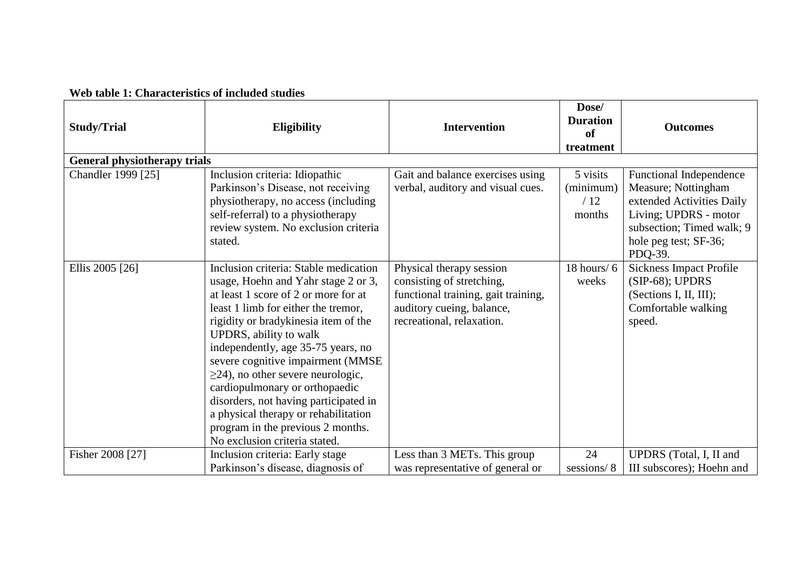## **Web table 1: Characteristics of included** s**tudies**

| <b>Study/Trial</b>                  | <b>Eligibility</b>                                                                                                                                                                                                                                                                                                                                                                                                                                                                                                                           | <b>Intervention</b>                                                                                                                                    | Dose/<br><b>Duration</b><br>of<br>treatment | <b>Outcomes</b>                                                                                                                                                              |
|-------------------------------------|----------------------------------------------------------------------------------------------------------------------------------------------------------------------------------------------------------------------------------------------------------------------------------------------------------------------------------------------------------------------------------------------------------------------------------------------------------------------------------------------------------------------------------------------|--------------------------------------------------------------------------------------------------------------------------------------------------------|---------------------------------------------|------------------------------------------------------------------------------------------------------------------------------------------------------------------------------|
| <b>General physiotherapy trials</b> |                                                                                                                                                                                                                                                                                                                                                                                                                                                                                                                                              |                                                                                                                                                        |                                             |                                                                                                                                                                              |
| Chandler 1999 [25]                  | Inclusion criteria: Idiopathic<br>Parkinson's Disease, not receiving<br>physiotherapy, no access (including<br>self-referral) to a physiotherapy<br>review system. No exclusion criteria<br>stated.                                                                                                                                                                                                                                                                                                                                          | Gait and balance exercises using<br>verbal, auditory and visual cues.                                                                                  | 5 visits<br>(minimum)<br>/12<br>months      | <b>Functional Independence</b><br>Measure; Nottingham<br>extended Activities Daily<br>Living; UPDRS - motor<br>subsection; Timed walk; 9<br>hole peg test; SF-36;<br>PDQ-39. |
| Ellis 2005 [26]                     | Inclusion criteria: Stable medication<br>usage, Hoehn and Yahr stage 2 or 3,<br>at least 1 score of 2 or more for at<br>least 1 limb for either the tremor,<br>rigidity or bradykinesia item of the<br>UPDRS, ability to walk<br>independently, age 35-75 years, no<br>severe cognitive impairment (MMSE<br>$\geq$ 24), no other severe neurologic,<br>cardiopulmonary or orthopaedic<br>disorders, not having participated in<br>a physical therapy or rehabilitation<br>program in the previous 2 months.<br>No exclusion criteria stated. | Physical therapy session<br>consisting of stretching,<br>functional training, gait training,<br>auditory cueing, balance,<br>recreational, relaxation. | 18 hours/ $6$<br>weeks                      | <b>Sickness Impact Profile</b><br>$(SIP-68)$ ; UPDRS<br>(Sections I, II, III);<br>Comfortable walking<br>speed.                                                              |
| Fisher 2008 [27]                    | Inclusion criteria: Early stage<br>Parkinson's disease, diagnosis of                                                                                                                                                                                                                                                                                                                                                                                                                                                                         | Less than 3 METs. This group<br>was representative of general or                                                                                       | 24<br>sessions/8                            | UPDRS (Total, I, II and<br>III subscores); Hoehn and                                                                                                                         |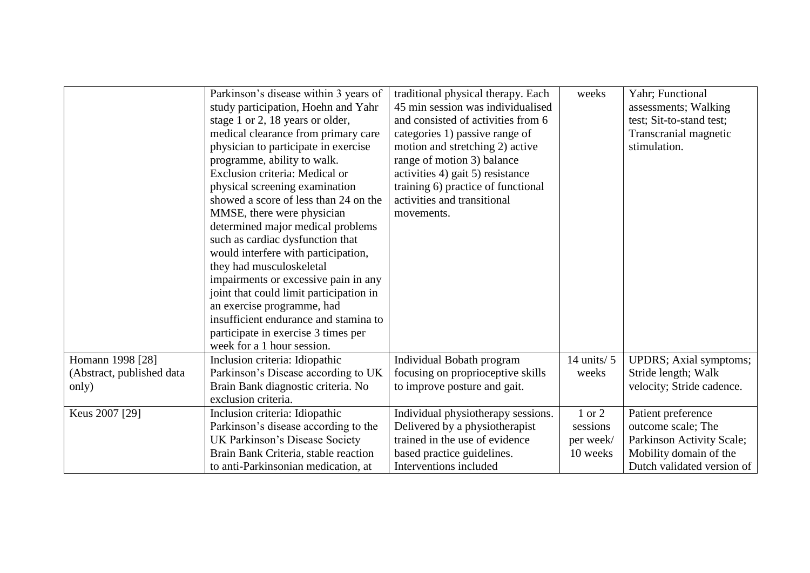|                           | Parkinson's disease within 3 years of<br>study participation, Hoehn and Yahr<br>stage 1 or 2, 18 years or older,<br>medical clearance from primary care<br>physician to participate in exercise<br>programme, ability to walk.<br>Exclusion criteria: Medical or<br>physical screening examination<br>showed a score of less than 24 on the<br>MMSE, there were physician<br>determined major medical problems<br>such as cardiac dysfunction that<br>would interfere with participation,<br>they had musculoskeletal<br>impairments or excessive pain in any<br>joint that could limit participation in<br>an exercise programme, had<br>insufficient endurance and stamina to<br>participate in exercise 3 times per<br>week for a 1 hour session. | traditional physical therapy. Each<br>45 min session was individualised<br>and consisted of activities from 6<br>categories 1) passive range of<br>motion and stretching 2) active<br>range of motion 3) balance<br>activities 4) gait 5) resistance<br>training 6) practice of functional<br>activities and transitional<br>movements. | weeks         | Yahr; Functional<br>assessments; Walking<br>test; Sit-to-stand test;<br>Transcranial magnetic<br>stimulation. |
|---------------------------|------------------------------------------------------------------------------------------------------------------------------------------------------------------------------------------------------------------------------------------------------------------------------------------------------------------------------------------------------------------------------------------------------------------------------------------------------------------------------------------------------------------------------------------------------------------------------------------------------------------------------------------------------------------------------------------------------------------------------------------------------|-----------------------------------------------------------------------------------------------------------------------------------------------------------------------------------------------------------------------------------------------------------------------------------------------------------------------------------------|---------------|---------------------------------------------------------------------------------------------------------------|
| Homann 1998 [28]          | Inclusion criteria: Idiopathic                                                                                                                                                                                                                                                                                                                                                                                                                                                                                                                                                                                                                                                                                                                       | Individual Bobath program                                                                                                                                                                                                                                                                                                               | 14 units/ $5$ | <b>UPDRS</b> ; Axial symptoms;                                                                                |
| (Abstract, published data | Parkinson's Disease according to UK                                                                                                                                                                                                                                                                                                                                                                                                                                                                                                                                                                                                                                                                                                                  | focusing on proprioceptive skills                                                                                                                                                                                                                                                                                                       | weeks         | Stride length; Walk                                                                                           |
| only)                     | Brain Bank diagnostic criteria. No                                                                                                                                                                                                                                                                                                                                                                                                                                                                                                                                                                                                                                                                                                                   | to improve posture and gait.                                                                                                                                                                                                                                                                                                            |               | velocity; Stride cadence.                                                                                     |
|                           | exclusion criteria.                                                                                                                                                                                                                                                                                                                                                                                                                                                                                                                                                                                                                                                                                                                                  |                                                                                                                                                                                                                                                                                                                                         |               |                                                                                                               |
| Keus 2007 [29]            | Inclusion criteria: Idiopathic                                                                                                                                                                                                                                                                                                                                                                                                                                                                                                                                                                                                                                                                                                                       | Individual physiotherapy sessions.                                                                                                                                                                                                                                                                                                      | 1 or 2        | Patient preference                                                                                            |
|                           | Parkinson's disease according to the                                                                                                                                                                                                                                                                                                                                                                                                                                                                                                                                                                                                                                                                                                                 | Delivered by a physiotherapist                                                                                                                                                                                                                                                                                                          | sessions      | outcome scale; The                                                                                            |
|                           | UK Parkinson's Disease Society                                                                                                                                                                                                                                                                                                                                                                                                                                                                                                                                                                                                                                                                                                                       | trained in the use of evidence                                                                                                                                                                                                                                                                                                          | per week/     | Parkinson Activity Scale;                                                                                     |
|                           | Brain Bank Criteria, stable reaction                                                                                                                                                                                                                                                                                                                                                                                                                                                                                                                                                                                                                                                                                                                 | based practice guidelines.                                                                                                                                                                                                                                                                                                              | 10 weeks      | Mobility domain of the                                                                                        |
|                           | to anti-Parkinsonian medication, at                                                                                                                                                                                                                                                                                                                                                                                                                                                                                                                                                                                                                                                                                                                  | Interventions included                                                                                                                                                                                                                                                                                                                  |               | Dutch validated version of                                                                                    |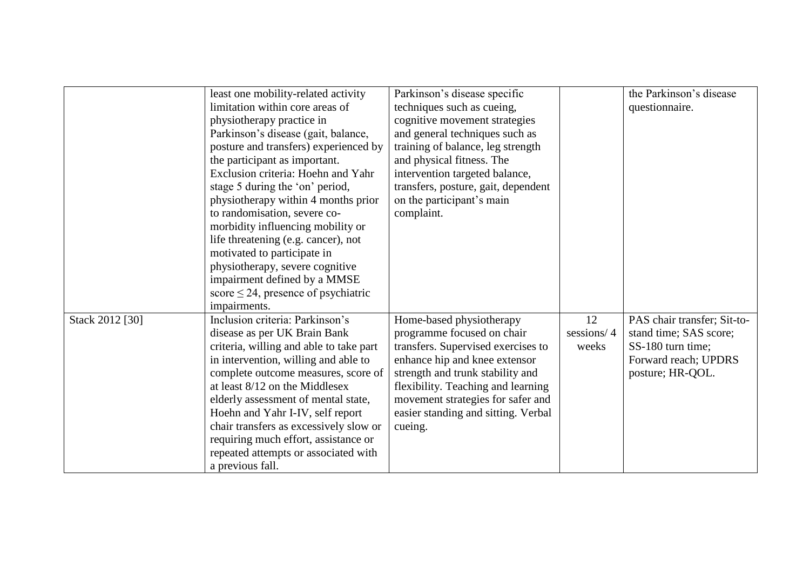|                 | least one mobility-related activity      | Parkinson's disease specific        |            | the Parkinson's disease     |
|-----------------|------------------------------------------|-------------------------------------|------------|-----------------------------|
|                 | limitation within core areas of          | techniques such as cueing,          |            | questionnaire.              |
|                 | physiotherapy practice in                | cognitive movement strategies       |            |                             |
|                 | Parkinson's disease (gait, balance,      | and general techniques such as      |            |                             |
|                 | posture and transfers) experienced by    | training of balance, leg strength   |            |                             |
|                 | the participant as important.            | and physical fitness. The           |            |                             |
|                 | Exclusion criteria: Hoehn and Yahr       | intervention targeted balance,      |            |                             |
|                 | stage 5 during the 'on' period,          | transfers, posture, gait, dependent |            |                             |
|                 | physiotherapy within 4 months prior      | on the participant's main           |            |                             |
|                 | to randomisation, severe co-             | complaint.                          |            |                             |
|                 | morbidity influencing mobility or        |                                     |            |                             |
|                 | life threatening (e.g. cancer), not      |                                     |            |                             |
|                 | motivated to participate in              |                                     |            |                             |
|                 | physiotherapy, severe cognitive          |                                     |            |                             |
|                 | impairment defined by a MMSE             |                                     |            |                             |
|                 | score $\leq$ 24, presence of psychiatric |                                     |            |                             |
|                 | impairments.                             |                                     |            |                             |
| Stack 2012 [30] | Inclusion criteria: Parkinson's          | Home-based physiotherapy            | 12         | PAS chair transfer; Sit-to- |
|                 | disease as per UK Brain Bank             | programme focused on chair          | sessions/4 | stand time; SAS score;      |
|                 |                                          |                                     | weeks      | SS-180 turn time;           |
|                 | criteria, willing and able to take part  | transfers. Supervised exercises to  |            |                             |
|                 | in intervention, willing and able to     | enhance hip and knee extensor       |            | Forward reach; UPDRS        |
|                 | complete outcome measures, score of      | strength and trunk stability and    |            | posture; HR-QOL.            |
|                 | at least 8/12 on the Middlesex           | flexibility. Teaching and learning  |            |                             |
|                 | elderly assessment of mental state,      | movement strategies for safer and   |            |                             |
|                 | Hoehn and Yahr I-IV, self report         | easier standing and sitting. Verbal |            |                             |
|                 | chair transfers as excessively slow or   | cueing.                             |            |                             |
|                 | requiring much effort, assistance or     |                                     |            |                             |
|                 | repeated attempts or associated with     |                                     |            |                             |
|                 | a previous fall.                         |                                     |            |                             |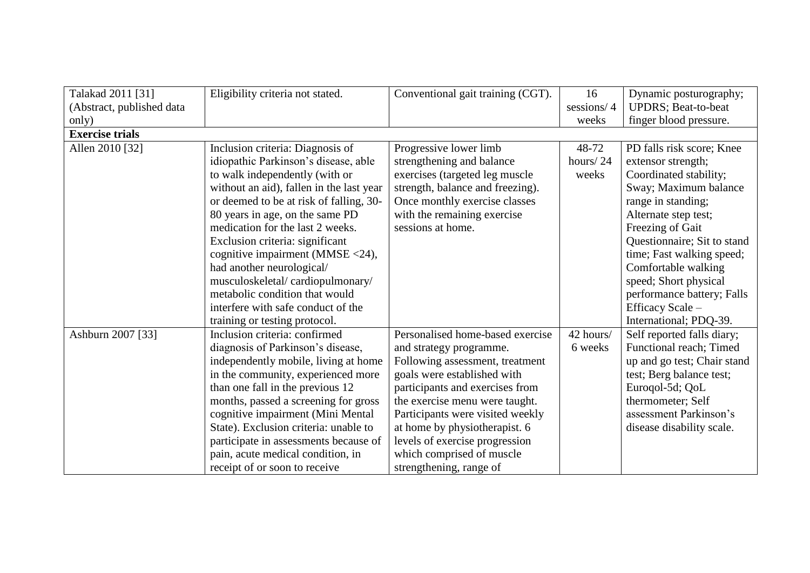| Talakad 2011 [31]         | Eligibility criteria not stated.         | Conventional gait training (CGT). | 16         | Dynamic posturography;      |
|---------------------------|------------------------------------------|-----------------------------------|------------|-----------------------------|
| (Abstract, published data |                                          |                                   | sessions/4 | <b>UPDRS</b> ; Beat-to-beat |
| only)                     |                                          |                                   | weeks      | finger blood pressure.      |
| <b>Exercise trials</b>    |                                          |                                   |            |                             |
| Allen 2010 [32]           | Inclusion criteria: Diagnosis of         | Progressive lower limb            | 48-72      | PD falls risk score; Knee   |
|                           | idiopathic Parkinson's disease, able     | strengthening and balance         | hours/24   | extensor strength;          |
|                           | to walk independently (with or           | exercises (targeted leg muscle    | weeks      | Coordinated stability;      |
|                           | without an aid), fallen in the last year | strength, balance and freezing).  |            | Sway; Maximum balance       |
|                           | or deemed to be at risk of falling, 30-  | Once monthly exercise classes     |            | range in standing;          |
|                           | 80 years in age, on the same PD          | with the remaining exercise       |            | Alternate step test;        |
|                           | medication for the last 2 weeks.         | sessions at home.                 |            | Freezing of Gait            |
|                           | Exclusion criteria: significant          |                                   |            | Questionnaire; Sit to stand |
|                           | cognitive impairment (MMSE <24),         |                                   |            | time; Fast walking speed;   |
|                           | had another neurological/                |                                   |            | Comfortable walking         |
|                           | musculoskeletal/cardiopulmonary/         |                                   |            | speed; Short physical       |
|                           | metabolic condition that would           |                                   |            | performance battery; Falls  |
|                           | interfere with safe conduct of the       |                                   |            | Efficacy Scale -            |
|                           | training or testing protocol.            |                                   |            | International; PDQ-39.      |
| Ashburn 2007 [33]         | Inclusion criteria: confirmed            | Personalised home-based exercise  | 42 hours/  | Self reported falls diary;  |
|                           | diagnosis of Parkinson's disease,        | and strategy programme.           | 6 weeks    | Functional reach; Timed     |
|                           | independently mobile, living at home     | Following assessment, treatment   |            | up and go test; Chair stand |
|                           | in the community, experienced more       | goals were established with       |            | test; Berg balance test;    |
|                           | than one fall in the previous 12         | participants and exercises from   |            | Euroqol-5d; QoL             |
|                           | months, passed a screening for gross     | the exercise menu were taught.    |            | thermometer; Self           |
|                           | cognitive impairment (Mini Mental        | Participants were visited weekly  |            | assessment Parkinson's      |
|                           | State). Exclusion criteria: unable to    | at home by physiotherapist. 6     |            | disease disability scale.   |
|                           | participate in assessments because of    | levels of exercise progression    |            |                             |
|                           | pain, acute medical condition, in        | which comprised of muscle         |            |                             |
|                           | receipt of or soon to receive            | strengthening, range of           |            |                             |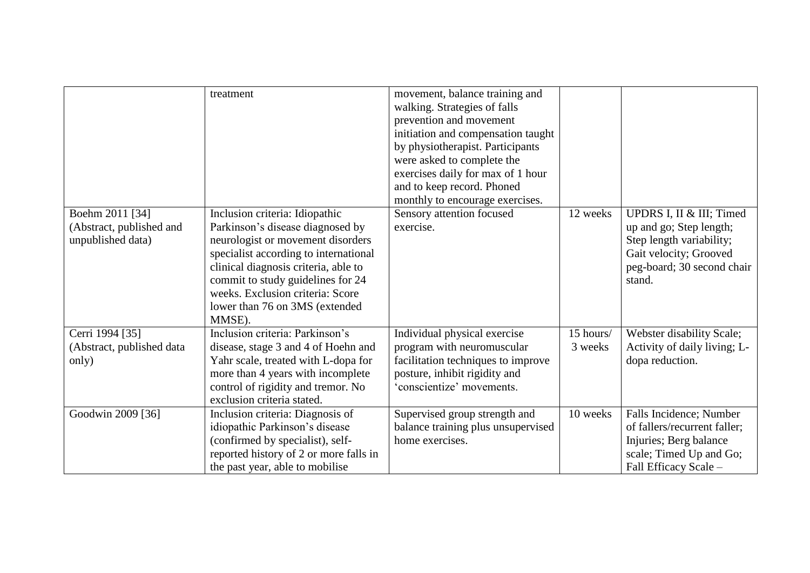| Boehm 2011 [34]<br>(Abstract, published and<br>unpublished data) | treatment<br>Inclusion criteria: Idiopathic<br>Parkinson's disease diagnosed by<br>neurologist or movement disorders<br>specialist according to international<br>clinical diagnosis criteria, able to<br>commit to study guidelines for 24<br>weeks. Exclusion criteria: Score<br>lower than 76 on 3MS (extended<br>MMSE). | movement, balance training and<br>walking. Strategies of falls<br>prevention and movement<br>initiation and compensation taught<br>by physiotherapist. Participants<br>were asked to complete the<br>exercises daily for max of 1 hour<br>and to keep record. Phoned<br>monthly to encourage exercises.<br>Sensory attention focused<br>exercise. | 12 weeks  | UPDRS I, II & III; Timed<br>up and go; Step length;<br>Step length variability;<br>Gait velocity; Grooved<br>peg-board; 30 second chair<br>stand. |
|------------------------------------------------------------------|----------------------------------------------------------------------------------------------------------------------------------------------------------------------------------------------------------------------------------------------------------------------------------------------------------------------------|---------------------------------------------------------------------------------------------------------------------------------------------------------------------------------------------------------------------------------------------------------------------------------------------------------------------------------------------------|-----------|---------------------------------------------------------------------------------------------------------------------------------------------------|
| Cerri 1994 [35]                                                  | Inclusion criteria: Parkinson's                                                                                                                                                                                                                                                                                            | Individual physical exercise                                                                                                                                                                                                                                                                                                                      | 15 hours/ | Webster disability Scale;                                                                                                                         |
| (Abstract, published data                                        | disease, stage 3 and 4 of Hoehn and                                                                                                                                                                                                                                                                                        | program with neuromuscular                                                                                                                                                                                                                                                                                                                        | 3 weeks   | Activity of daily living; L-                                                                                                                      |
| only)                                                            | Yahr scale, treated with L-dopa for<br>more than 4 years with incomplete                                                                                                                                                                                                                                                   | facilitation techniques to improve<br>posture, inhibit rigidity and                                                                                                                                                                                                                                                                               |           | dopa reduction.                                                                                                                                   |
|                                                                  | control of rigidity and tremor. No                                                                                                                                                                                                                                                                                         | 'conscientize' movements.                                                                                                                                                                                                                                                                                                                         |           |                                                                                                                                                   |
|                                                                  | exclusion criteria stated.                                                                                                                                                                                                                                                                                                 |                                                                                                                                                                                                                                                                                                                                                   |           |                                                                                                                                                   |
| Goodwin 2009 [36]                                                | Inclusion criteria: Diagnosis of<br>idiopathic Parkinson's disease<br>(confirmed by specialist), self-<br>reported history of 2 or more falls in<br>the past year, able to mobilise                                                                                                                                        | Supervised group strength and<br>balance training plus unsupervised<br>home exercises.                                                                                                                                                                                                                                                            | 10 weeks  | Falls Incidence; Number<br>of fallers/recurrent faller;<br>Injuries; Berg balance<br>scale; Timed Up and Go;<br>Fall Efficacy Scale -             |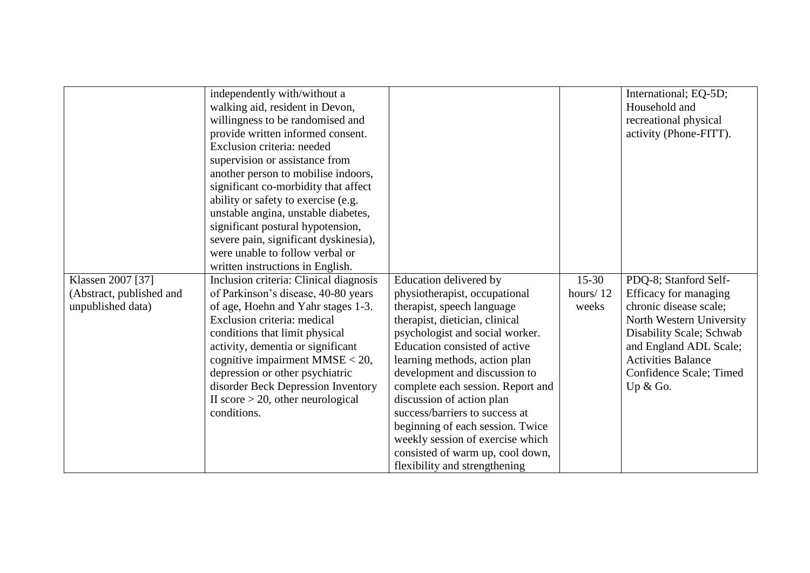|                          | independently with/without a           |                                   |          | International; EQ-5D;     |
|--------------------------|----------------------------------------|-----------------------------------|----------|---------------------------|
|                          | walking aid, resident in Devon,        |                                   |          | Household and             |
|                          | willingness to be randomised and       |                                   |          | recreational physical     |
|                          | provide written informed consent.      |                                   |          | activity (Phone-FITT).    |
|                          | Exclusion criteria: needed             |                                   |          |                           |
|                          | supervision or assistance from         |                                   |          |                           |
|                          | another person to mobilise indoors,    |                                   |          |                           |
|                          | significant co-morbidity that affect   |                                   |          |                           |
|                          | ability or safety to exercise (e.g.    |                                   |          |                           |
|                          | unstable angina, unstable diabetes,    |                                   |          |                           |
|                          | significant postural hypotension,      |                                   |          |                           |
|                          | severe pain, significant dyskinesia),  |                                   |          |                           |
|                          | were unable to follow verbal or        |                                   |          |                           |
|                          | written instructions in English.       |                                   |          |                           |
| Klassen 2007 [37]        | Inclusion criteria: Clinical diagnosis | Education delivered by            | $15-30$  | PDQ-8; Stanford Self-     |
| (Abstract, published and | of Parkinson's disease, 40-80 years    | physiotherapist, occupational     | hours/12 | Efficacy for managing     |
| unpublished data)        | of age, Hoehn and Yahr stages 1-3.     | therapist, speech language        | weeks    | chronic disease scale;    |
|                          | Exclusion criteria: medical            | therapist, dietician, clinical    |          | North Western University  |
|                          | conditions that limit physical         | psychologist and social worker.   |          | Disability Scale; Schwab  |
|                          | activity, dementia or significant      | Education consisted of active     |          | and England ADL Scale;    |
|                          | cognitive impairment $MMSE < 20$ ,     | learning methods, action plan     |          | <b>Activities Balance</b> |
|                          | depression or other psychiatric        | development and discussion to     |          | Confidence Scale; Timed   |
|                          | disorder Beck Depression Inventory     | complete each session. Report and |          | Up $&$ Go.                |
|                          | II score $> 20$ , other neurological   | discussion of action plan         |          |                           |
|                          | conditions.                            | success/barriers to success at    |          |                           |
|                          |                                        | beginning of each session. Twice  |          |                           |
|                          |                                        | weekly session of exercise which  |          |                           |
|                          |                                        | consisted of warm up, cool down,  |          |                           |
|                          |                                        | flexibility and strengthening     |          |                           |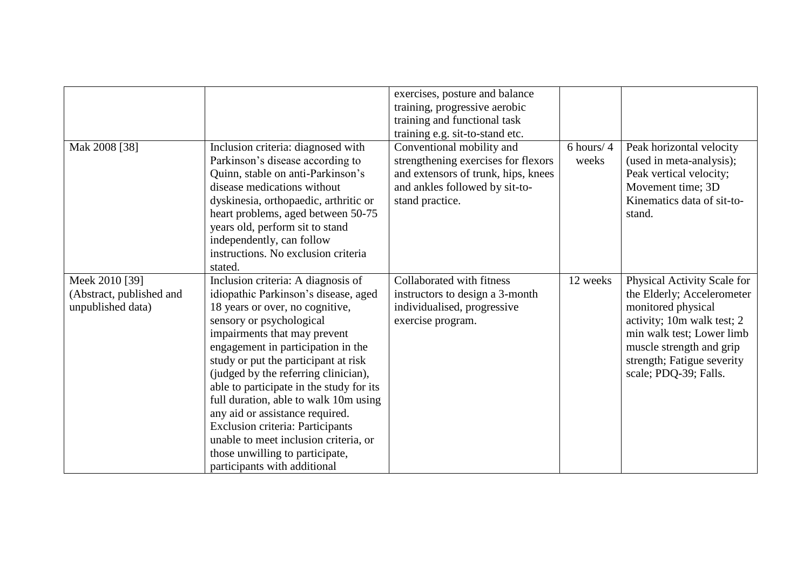|                                                                 |                                                                                                                                                                                                                                                                                                                                                                                                                                                                                                                                                                                | exercises, posture and balance<br>training, progressive aerobic<br>training and functional task<br>training e.g. sit-to-stand etc.                           |                         |                                                                                                                                                                                                                               |
|-----------------------------------------------------------------|--------------------------------------------------------------------------------------------------------------------------------------------------------------------------------------------------------------------------------------------------------------------------------------------------------------------------------------------------------------------------------------------------------------------------------------------------------------------------------------------------------------------------------------------------------------------------------|--------------------------------------------------------------------------------------------------------------------------------------------------------------|-------------------------|-------------------------------------------------------------------------------------------------------------------------------------------------------------------------------------------------------------------------------|
| Mak 2008 [38]                                                   | Inclusion criteria: diagnosed with<br>Parkinson's disease according to<br>Quinn, stable on anti-Parkinson's<br>disease medications without<br>dyskinesia, orthopaedic, arthritic or<br>heart problems, aged between 50-75<br>years old, perform sit to stand<br>independently, can follow<br>instructions. No exclusion criteria<br>stated.                                                                                                                                                                                                                                    | Conventional mobility and<br>strengthening exercises for flexors<br>and extensors of trunk, hips, knees<br>and ankles followed by sit-to-<br>stand practice. | $6$ hours/ $4$<br>weeks | Peak horizontal velocity<br>(used in meta-analysis);<br>Peak vertical velocity;<br>Movement time; 3D<br>Kinematics data of sit-to-<br>stand.                                                                                  |
| Meek 2010 [39]<br>(Abstract, published and<br>unpublished data) | Inclusion criteria: A diagnosis of<br>idiopathic Parkinson's disease, aged<br>18 years or over, no cognitive,<br>sensory or psychological<br>impairments that may prevent<br>engagement in participation in the<br>study or put the participant at risk<br>(judged by the referring clinician),<br>able to participate in the study for its<br>full duration, able to walk 10m using<br>any aid or assistance required.<br><b>Exclusion criteria: Participants</b><br>unable to meet inclusion criteria, or<br>those unwilling to participate,<br>participants with additional | Collaborated with fitness<br>instructors to design a 3-month<br>individualised, progressive<br>exercise program.                                             | 12 weeks                | Physical Activity Scale for<br>the Elderly; Accelerometer<br>monitored physical<br>activity; 10m walk test; 2<br>min walk test; Lower limb<br>muscle strength and grip<br>strength; Fatigue severity<br>scale; PDQ-39; Falls. |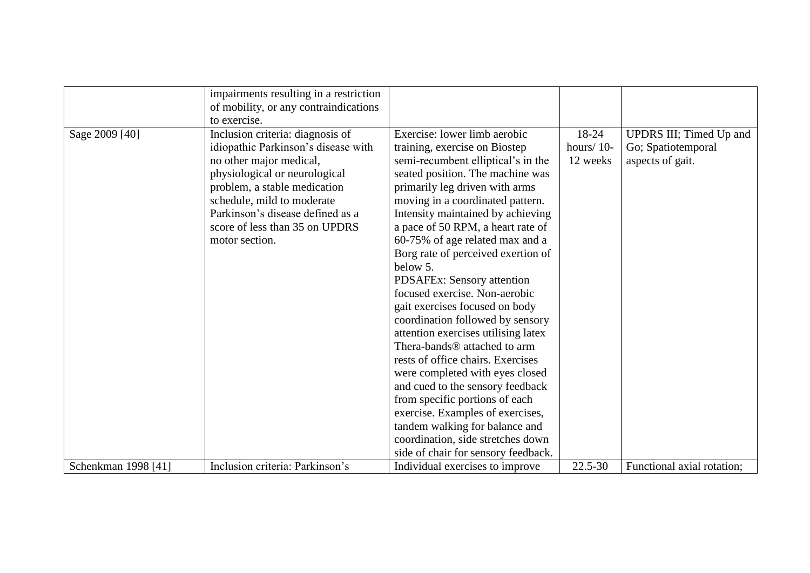|                     | impairments resulting in a restriction<br>of mobility, or any contraindications<br>to exercise.                                                                                                                                                                                           |                                                                                                                                                                                                                                                                                                                                                                                                                                                                                                                                                                                                                                                                                                                                                                                                                                                                                                      |                                    |                                                                   |
|---------------------|-------------------------------------------------------------------------------------------------------------------------------------------------------------------------------------------------------------------------------------------------------------------------------------------|------------------------------------------------------------------------------------------------------------------------------------------------------------------------------------------------------------------------------------------------------------------------------------------------------------------------------------------------------------------------------------------------------------------------------------------------------------------------------------------------------------------------------------------------------------------------------------------------------------------------------------------------------------------------------------------------------------------------------------------------------------------------------------------------------------------------------------------------------------------------------------------------------|------------------------------------|-------------------------------------------------------------------|
| Sage 2009 [40]      | Inclusion criteria: diagnosis of<br>idiopathic Parkinson's disease with<br>no other major medical,<br>physiological or neurological<br>problem, a stable medication<br>schedule, mild to moderate<br>Parkinson's disease defined as a<br>score of less than 35 on UPDRS<br>motor section. | Exercise: lower limb aerobic<br>training, exercise on Biostep<br>semi-recumbent elliptical's in the<br>seated position. The machine was<br>primarily leg driven with arms<br>moving in a coordinated pattern.<br>Intensity maintained by achieving<br>a pace of 50 RPM, a heart rate of<br>60-75% of age related max and a<br>Borg rate of perceived exertion of<br>below 5.<br>PDSAFEx: Sensory attention<br>focused exercise. Non-aerobic<br>gait exercises focused on body<br>coordination followed by sensory<br>attention exercises utilising latex<br>Thera-bands <sup>®</sup> attached to arm<br>rests of office chairs. Exercises<br>were completed with eyes closed<br>and cued to the sensory feedback<br>from specific portions of each<br>exercise. Examples of exercises,<br>tandem walking for balance and<br>coordination, side stretches down<br>side of chair for sensory feedback. | 18-24<br>hours/ $10$ -<br>12 weeks | UPDRS III; Timed Up and<br>Go; Spatiotemporal<br>aspects of gait. |
| Schenkman 1998 [41] | Inclusion criteria: Parkinson's                                                                                                                                                                                                                                                           | Individual exercises to improve                                                                                                                                                                                                                                                                                                                                                                                                                                                                                                                                                                                                                                                                                                                                                                                                                                                                      | $22.5 - 30$                        | Functional axial rotation;                                        |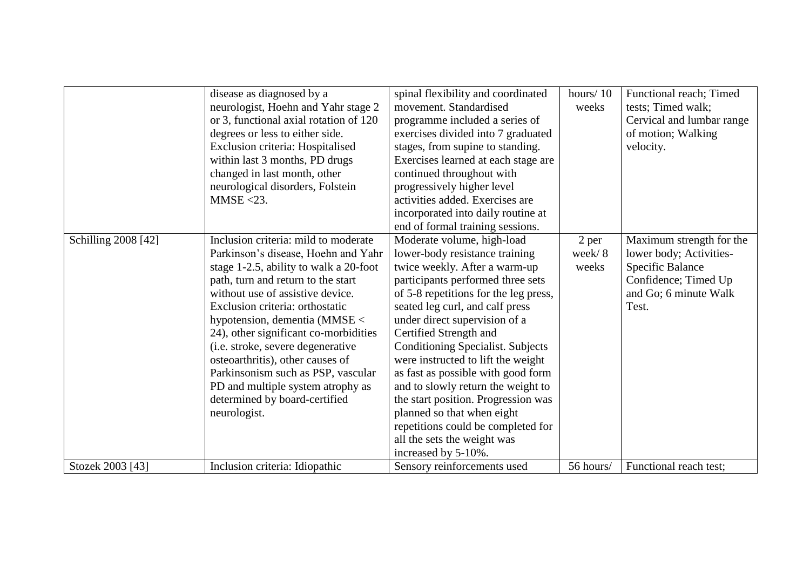|                     | disease as diagnosed by a              | spinal flexibility and coordinated    | hours/10  | Functional reach; Timed   |
|---------------------|----------------------------------------|---------------------------------------|-----------|---------------------------|
|                     | neurologist, Hoehn and Yahr stage 2    | movement. Standardised                | weeks     | tests; Timed walk;        |
|                     | or 3, functional axial rotation of 120 | programme included a series of        |           | Cervical and lumbar range |
|                     | degrees or less to either side.        | exercises divided into 7 graduated    |           | of motion; Walking        |
|                     | Exclusion criteria: Hospitalised       | stages, from supine to standing.      |           | velocity.                 |
|                     | within last 3 months, PD drugs         | Exercises learned at each stage are   |           |                           |
|                     | changed in last month, other           | continued throughout with             |           |                           |
|                     | neurological disorders, Folstein       | progressively higher level            |           |                           |
|                     | $MMSE < 23$ .                          | activities added. Exercises are       |           |                           |
|                     |                                        | incorporated into daily routine at    |           |                           |
|                     |                                        | end of formal training sessions.      |           |                           |
| Schilling 2008 [42] | Inclusion criteria: mild to moderate   | Moderate volume, high-load            | 2 per     | Maximum strength for the  |
|                     | Parkinson's disease, Hoehn and Yahr    | lower-body resistance training        | week/8    | lower body; Activities-   |
|                     | stage 1-2.5, ability to walk a 20-foot | twice weekly. After a warm-up         | weeks     | <b>Specific Balance</b>   |
|                     | path, turn and return to the start     | participants performed three sets     |           | Confidence; Timed Up      |
|                     | without use of assistive device.       | of 5-8 repetitions for the leg press, |           | and Go; 6 minute Walk     |
|                     | Exclusion criteria: orthostatic        | seated leg curl, and calf press       |           | Test.                     |
|                     | hypotension, dementia $(MMSE <$        | under direct supervision of a         |           |                           |
|                     | 24), other significant co-morbidities  | Certified Strength and                |           |                           |
|                     | (i.e. stroke, severe degenerative      | Conditioning Specialist. Subjects     |           |                           |
|                     | osteoarthritis), other causes of       | were instructed to lift the weight    |           |                           |
|                     | Parkinsonism such as PSP, vascular     | as fast as possible with good form    |           |                           |
|                     | PD and multiple system atrophy as      | and to slowly return the weight to    |           |                           |
|                     | determined by board-certified          | the start position. Progression was   |           |                           |
|                     | neurologist.                           | planned so that when eight            |           |                           |
|                     |                                        | repetitions could be completed for    |           |                           |
|                     |                                        | all the sets the weight was           |           |                           |
|                     |                                        | increased by 5-10%.                   |           |                           |
| Stozek 2003 [43]    | Inclusion criteria: Idiopathic         | Sensory reinforcements used           | 56 hours/ | Functional reach test;    |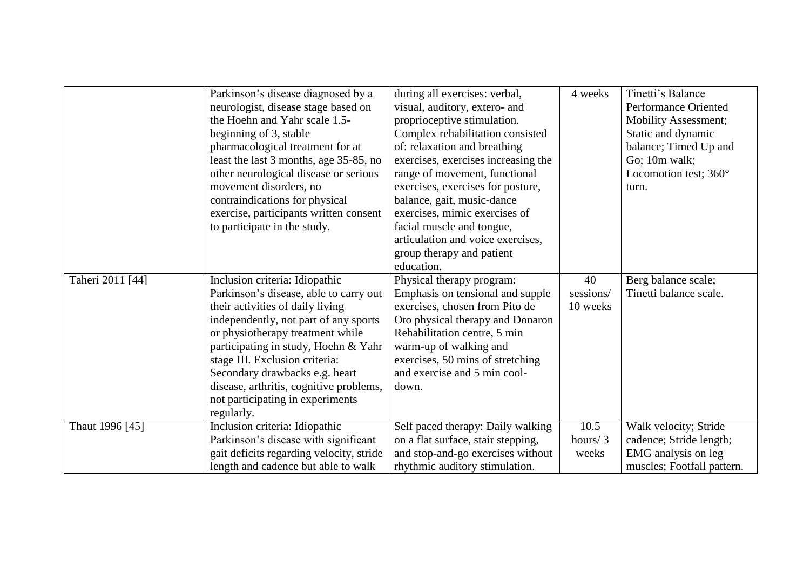|                  | Parkinson's disease diagnosed by a       | during all exercises: verbal,       | 4 weeks    | Tinetti's Balance           |
|------------------|------------------------------------------|-------------------------------------|------------|-----------------------------|
|                  | neurologist, disease stage based on      | visual, auditory, extero- and       |            | Performance Oriented        |
|                  | the Hoehn and Yahr scale 1.5-            | proprioceptive stimulation.         |            | <b>Mobility Assessment;</b> |
|                  | beginning of 3, stable                   | Complex rehabilitation consisted    |            | Static and dynamic          |
|                  | pharmacological treatment for at         | of: relaxation and breathing        |            | balance; Timed Up and       |
|                  | least the last 3 months, age 35-85, no   | exercises, exercises increasing the |            | Go; 10m walk;               |
|                  | other neurological disease or serious    | range of movement, functional       |            | Locomotion test; 360°       |
|                  | movement disorders, no                   | exercises, exercises for posture,   |            | turn.                       |
|                  | contraindications for physical           | balance, gait, music-dance          |            |                             |
|                  | exercise, participants written consent   | exercises, mimic exercises of       |            |                             |
|                  | to participate in the study.             | facial muscle and tongue,           |            |                             |
|                  |                                          | articulation and voice exercises,   |            |                             |
|                  |                                          | group therapy and patient           |            |                             |
|                  |                                          | education.                          |            |                             |
| Taheri 2011 [44] | Inclusion criteria: Idiopathic           | Physical therapy program:           | 40         | Berg balance scale;         |
|                  | Parkinson's disease, able to carry out   | Emphasis on tensional and supple    | sessions/  | Tinetti balance scale.      |
|                  | their activities of daily living         | exercises, chosen from Pito de      | 10 weeks   |                             |
|                  | independently, not part of any sports    | Oto physical therapy and Donaron    |            |                             |
|                  | or physiotherapy treatment while         | Rehabilitation centre, 5 min        |            |                             |
|                  | participating in study, Hoehn & Yahr     | warm-up of walking and              |            |                             |
|                  | stage III. Exclusion criteria:           | exercises, 50 mins of stretching    |            |                             |
|                  | Secondary drawbacks e.g. heart           | and exercise and 5 min cool-        |            |                             |
|                  | disease, arthritis, cognitive problems,  | down.                               |            |                             |
|                  | not participating in experiments         |                                     |            |                             |
|                  | regularly.                               |                                     |            |                             |
| Thaut 1996 [45]  | Inclusion criteria: Idiopathic           | Self paced therapy: Daily walking   | 10.5       | Walk velocity; Stride       |
|                  | Parkinson's disease with significant     | on a flat surface, stair stepping,  | hours/ $3$ | cadence; Stride length;     |
|                  | gait deficits regarding velocity, stride | and stop-and-go exercises without   | weeks      | EMG analysis on leg         |
|                  | length and cadence but able to walk      | rhythmic auditory stimulation.      |            | muscles; Footfall pattern.  |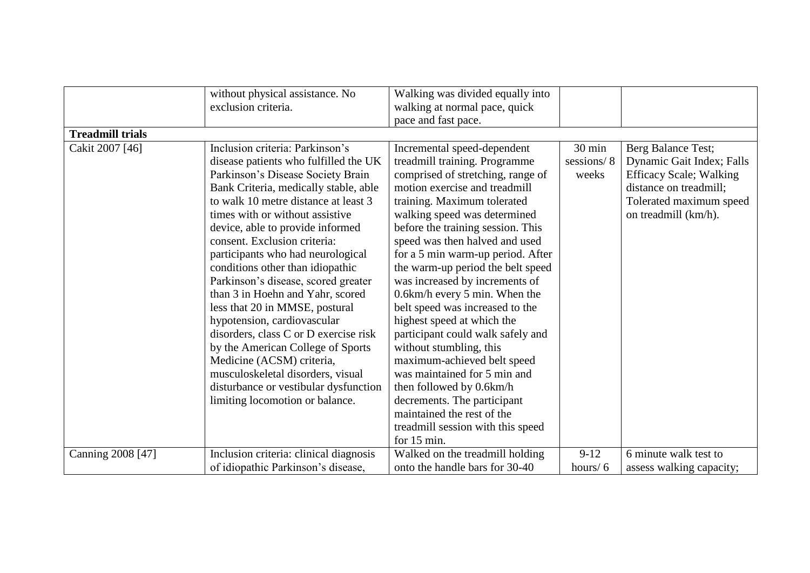|                         | without physical assistance. No        | Walking was divided equally into  |                  |                                |
|-------------------------|----------------------------------------|-----------------------------------|------------------|--------------------------------|
|                         |                                        |                                   |                  |                                |
|                         | exclusion criteria.                    | walking at normal pace, quick     |                  |                                |
|                         |                                        | pace and fast pace.               |                  |                                |
| <b>Treadmill trials</b> |                                        |                                   |                  |                                |
| Cakit 2007 [46]         | Inclusion criteria: Parkinson's        | Incremental speed-dependent       | $30 \text{ min}$ | Berg Balance Test;             |
|                         | disease patients who fulfilled the UK  | treadmill training. Programme     | sessions/8       | Dynamic Gait Index; Falls      |
|                         | Parkinson's Disease Society Brain      | comprised of stretching, range of | weeks            | <b>Efficacy Scale; Walking</b> |
|                         | Bank Criteria, medically stable, able  | motion exercise and treadmill     |                  | distance on treadmill;         |
|                         | to walk 10 metre distance at least 3   | training. Maximum tolerated       |                  | Tolerated maximum speed        |
|                         | times with or without assistive        | walking speed was determined      |                  | on treadmill (km/h).           |
|                         | device, able to provide informed       | before the training session. This |                  |                                |
|                         | consent. Exclusion criteria:           | speed was then halved and used    |                  |                                |
|                         | participants who had neurological      | for a 5 min warm-up period. After |                  |                                |
|                         | conditions other than idiopathic       | the warm-up period the belt speed |                  |                                |
|                         | Parkinson's disease, scored greater    | was increased by increments of    |                  |                                |
|                         | than 3 in Hoehn and Yahr, scored       | 0.6km/h every 5 min. When the     |                  |                                |
|                         | less that 20 in MMSE, postural         | belt speed was increased to the   |                  |                                |
|                         | hypotension, cardiovascular            | highest speed at which the        |                  |                                |
|                         | disorders, class C or D exercise risk  | participant could walk safely and |                  |                                |
|                         | by the American College of Sports      | without stumbling, this           |                  |                                |
|                         | Medicine (ACSM) criteria,              | maximum-achieved belt speed       |                  |                                |
|                         | musculoskeletal disorders, visual      | was maintained for 5 min and      |                  |                                |
|                         | disturbance or vestibular dysfunction  | then followed by 0.6km/h          |                  |                                |
|                         | limiting locomotion or balance.        | decrements. The participant       |                  |                                |
|                         |                                        | maintained the rest of the        |                  |                                |
|                         |                                        | treadmill session with this speed |                  |                                |
|                         |                                        | for $15 \text{ min}$ .            |                  |                                |
| Canning 2008 [47]       | Inclusion criteria: clinical diagnosis | Walked on the treadmill holding   | $9-12$           | 6 minute walk test to          |
|                         | of idiopathic Parkinson's disease,     | onto the handle bars for 30-40    | hours/ $6$       | assess walking capacity;       |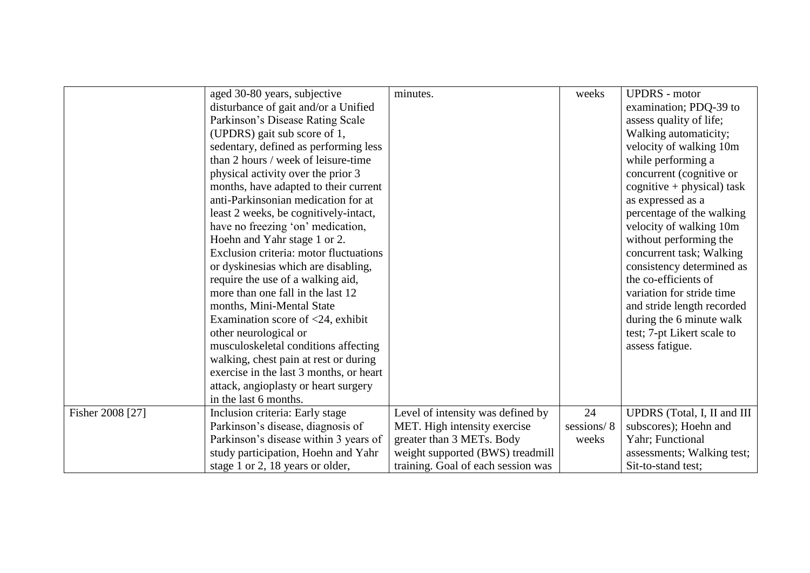|                  | aged 30-80 years, subjective            | minutes.                           | weeks      | <b>UPDRS</b> - motor          |
|------------------|-----------------------------------------|------------------------------------|------------|-------------------------------|
|                  | disturbance of gait and/or a Unified    |                                    |            | examination; PDQ-39 to        |
|                  | Parkinson's Disease Rating Scale        |                                    |            | assess quality of life;       |
|                  | (UPDRS) gait sub score of 1,            |                                    |            | Walking automaticity;         |
|                  | sedentary, defined as performing less   |                                    |            | velocity of walking 10m       |
|                  | than 2 hours / week of leisure-time     |                                    |            | while performing a            |
|                  | physical activity over the prior 3      |                                    |            | concurrent (cognitive or      |
|                  | months, have adapted to their current   |                                    |            | $c$ ognitive + physical) task |
|                  | anti-Parkinsonian medication for at     |                                    |            | as expressed as a             |
|                  | least 2 weeks, be cognitively-intact,   |                                    |            | percentage of the walking     |
|                  | have no freezing 'on' medication,       |                                    |            | velocity of walking 10m       |
|                  | Hoehn and Yahr stage 1 or 2.            |                                    |            | without performing the        |
|                  | Exclusion criteria: motor fluctuations  |                                    |            | concurrent task; Walking      |
|                  | or dyskinesias which are disabling,     |                                    |            | consistency determined as     |
|                  | require the use of a walking aid,       |                                    |            | the co-efficients of          |
|                  | more than one fall in the last 12       |                                    |            | variation for stride time     |
|                  | months, Mini-Mental State               |                                    |            | and stride length recorded    |
|                  | Examination score of $<$ 24, exhibit    |                                    |            | during the 6 minute walk      |
|                  | other neurological or                   |                                    |            | test; 7-pt Likert scale to    |
|                  | musculoskeletal conditions affecting    |                                    |            | assess fatigue.               |
|                  | walking, chest pain at rest or during   |                                    |            |                               |
|                  | exercise in the last 3 months, or heart |                                    |            |                               |
|                  | attack, angioplasty or heart surgery    |                                    |            |                               |
|                  | in the last 6 months.                   |                                    |            |                               |
| Fisher 2008 [27] | Inclusion criteria: Early stage         | Level of intensity was defined by  | 24         | UPDRS (Total, I, II and III   |
|                  | Parkinson's disease, diagnosis of       | MET. High intensity exercise       | sessions/8 | subscores); Hoehn and         |
|                  | Parkinson's disease within 3 years of   | greater than 3 METs. Body          | weeks      | Yahr; Functional              |
|                  | study participation, Hoehn and Yahr     | weight supported (BWS) treadmill   |            | assessments; Walking test;    |
|                  | stage 1 or 2, 18 years or older,        | training. Goal of each session was |            | Sit-to-stand test;            |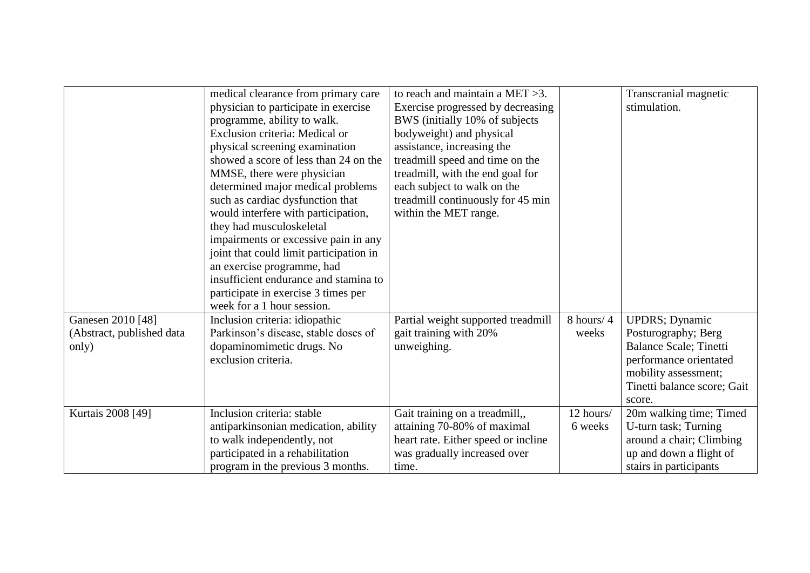|                           |                                         | to reach and maintain a MET $>3$ .  |           |                               |
|---------------------------|-----------------------------------------|-------------------------------------|-----------|-------------------------------|
|                           | medical clearance from primary care     |                                     |           | Transcranial magnetic         |
|                           | physician to participate in exercise    | Exercise progressed by decreasing   |           | stimulation.                  |
|                           | programme, ability to walk.             | BWS (initially 10% of subjects      |           |                               |
|                           | Exclusion criteria: Medical or          | bodyweight) and physical            |           |                               |
|                           | physical screening examination          | assistance, increasing the          |           |                               |
|                           | showed a score of less than 24 on the   | treadmill speed and time on the     |           |                               |
|                           | MMSE, there were physician              | treadmill, with the end goal for    |           |                               |
|                           | determined major medical problems       | each subject to walk on the         |           |                               |
|                           | such as cardiac dysfunction that        | treadmill continuously for 45 min   |           |                               |
|                           | would interfere with participation,     | within the MET range.               |           |                               |
|                           | they had musculoskeletal                |                                     |           |                               |
|                           | impairments or excessive pain in any    |                                     |           |                               |
|                           | joint that could limit participation in |                                     |           |                               |
|                           | an exercise programme, had              |                                     |           |                               |
|                           | insufficient endurance and stamina to   |                                     |           |                               |
|                           | participate in exercise 3 times per     |                                     |           |                               |
|                           | week for a 1 hour session.              |                                     |           |                               |
| Ganesen 2010 [48]         | Inclusion criteria: idiopathic          | Partial weight supported treadmill  | 8 hours/4 | <b>UPDRS</b> ; Dynamic        |
| (Abstract, published data | Parkinson's disease, stable doses of    | gait training with 20%              | weeks     | Posturography; Berg           |
| only)                     | dopaminomimetic drugs. No               | unweighing.                         |           | <b>Balance Scale; Tinetti</b> |
|                           | exclusion criteria.                     |                                     |           | performance orientated        |
|                           |                                         |                                     |           | mobility assessment;          |
|                           |                                         |                                     |           | Tinetti balance score; Gait   |
|                           |                                         |                                     |           | score.                        |
| Kurtais 2008 [49]         | Inclusion criteria: stable              |                                     | 12 hours/ |                               |
|                           |                                         | Gait training on a treadmill,,      |           | 20m walking time; Timed       |
|                           | antiparkinsonian medication, ability    | attaining 70-80% of maximal         | 6 weeks   | U-turn task; Turning          |
|                           | to walk independently, not              | heart rate. Either speed or incline |           | around a chair; Climbing      |
|                           | participated in a rehabilitation        | was gradually increased over        |           | up and down a flight of       |
|                           | program in the previous 3 months.       | time.                               |           | stairs in participants        |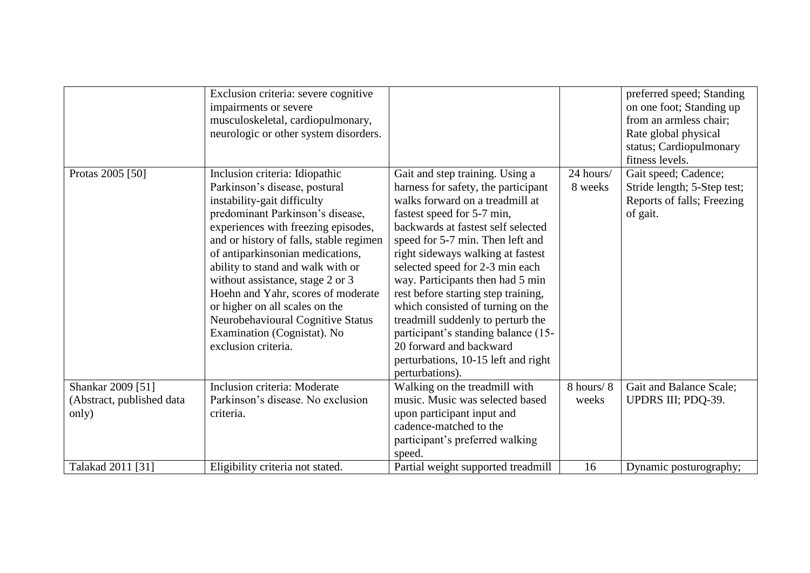|                                                         | Exclusion criteria: severe cognitive<br>impairments or severe<br>musculoskeletal, cardiopulmonary,<br>neurologic or other system disorders.                                                                                                                                                                                                                                                                                                                                                          |                                                                                                                                                                                                                                                                                                                                                                                                                                                                                                                                                                            |                      | preferred speed; Standing<br>on one foot; Standing up<br>from an armless chair;<br>Rate global physical<br>status; Cardiopulmonary<br>fitness levels. |
|---------------------------------------------------------|------------------------------------------------------------------------------------------------------------------------------------------------------------------------------------------------------------------------------------------------------------------------------------------------------------------------------------------------------------------------------------------------------------------------------------------------------------------------------------------------------|----------------------------------------------------------------------------------------------------------------------------------------------------------------------------------------------------------------------------------------------------------------------------------------------------------------------------------------------------------------------------------------------------------------------------------------------------------------------------------------------------------------------------------------------------------------------------|----------------------|-------------------------------------------------------------------------------------------------------------------------------------------------------|
| Protas 2005 [50]                                        | Inclusion criteria: Idiopathic<br>Parkinson's disease, postural<br>instability-gait difficulty<br>predominant Parkinson's disease,<br>experiences with freezing episodes,<br>and or history of falls, stable regimen<br>of antiparkinsonian medications,<br>ability to stand and walk with or<br>without assistance, stage 2 or 3<br>Hoehn and Yahr, scores of moderate<br>or higher on all scales on the<br>Neurobehavioural Cognitive Status<br>Examination (Cognistat). No<br>exclusion criteria. | Gait and step training. Using a<br>harness for safety, the participant<br>walks forward on a treadmill at<br>fastest speed for 5-7 min,<br>backwards at fastest self selected<br>speed for 5-7 min. Then left and<br>right sideways walking at fastest<br>selected speed for 2-3 min each<br>way. Participants then had 5 min<br>rest before starting step training,<br>which consisted of turning on the<br>treadmill suddenly to perturb the<br>participant's standing balance (15-<br>20 forward and backward<br>perturbations, 10-15 left and right<br>perturbations). | 24 hours/<br>8 weeks | Gait speed; Cadence;<br>Stride length; 5-Step test;<br>Reports of falls; Freezing<br>of gait.                                                         |
| Shankar 2009 [51]<br>(Abstract, published data<br>only) | Inclusion criteria: Moderate<br>Parkinson's disease. No exclusion<br>criteria.                                                                                                                                                                                                                                                                                                                                                                                                                       | Walking on the treadmill with<br>music. Music was selected based<br>upon participant input and<br>cadence-matched to the<br>participant's preferred walking<br>speed.                                                                                                                                                                                                                                                                                                                                                                                                      | 8 hours/8<br>weeks   | Gait and Balance Scale;<br>UPDRS III; PDQ-39.                                                                                                         |
| Talakad 2011 [31]                                       | Eligibility criteria not stated.                                                                                                                                                                                                                                                                                                                                                                                                                                                                     | Partial weight supported treadmill                                                                                                                                                                                                                                                                                                                                                                                                                                                                                                                                         | 16                   | Dynamic posturography;                                                                                                                                |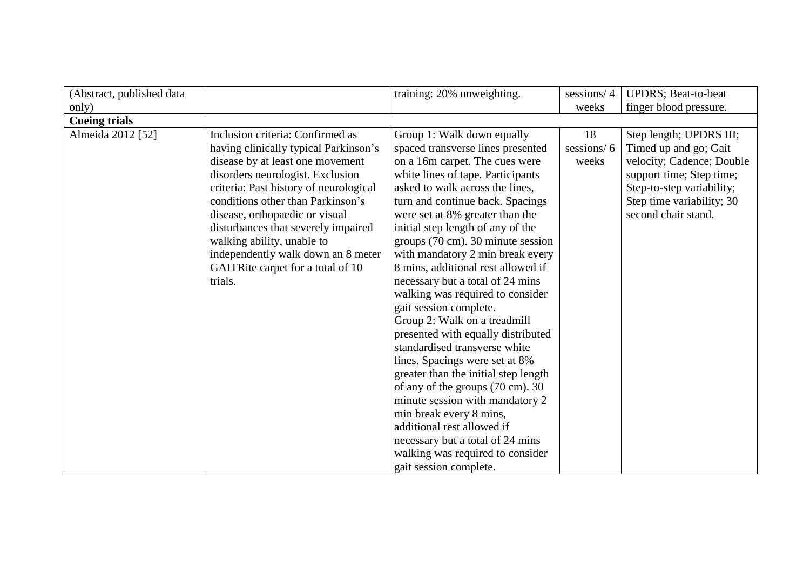| (Abstract, published data |                                                                                                                                                                                                                                                                                                                                                                                                                               | training: 20% unweighting.                                                                                                                                                                                                                                                                                                                                                                                                                                                                                                                                                                                                                                                                                                                                                                                                                                                                                                | sessions/4                | <b>UPDRS</b> ; Beat-to-beat                                                                                                                                                                |
|---------------------------|-------------------------------------------------------------------------------------------------------------------------------------------------------------------------------------------------------------------------------------------------------------------------------------------------------------------------------------------------------------------------------------------------------------------------------|---------------------------------------------------------------------------------------------------------------------------------------------------------------------------------------------------------------------------------------------------------------------------------------------------------------------------------------------------------------------------------------------------------------------------------------------------------------------------------------------------------------------------------------------------------------------------------------------------------------------------------------------------------------------------------------------------------------------------------------------------------------------------------------------------------------------------------------------------------------------------------------------------------------------------|---------------------------|--------------------------------------------------------------------------------------------------------------------------------------------------------------------------------------------|
| only)                     |                                                                                                                                                                                                                                                                                                                                                                                                                               |                                                                                                                                                                                                                                                                                                                                                                                                                                                                                                                                                                                                                                                                                                                                                                                                                                                                                                                           | weeks                     | finger blood pressure.                                                                                                                                                                     |
| <b>Cueing trials</b>      |                                                                                                                                                                                                                                                                                                                                                                                                                               |                                                                                                                                                                                                                                                                                                                                                                                                                                                                                                                                                                                                                                                                                                                                                                                                                                                                                                                           |                           |                                                                                                                                                                                            |
| Almeida 2012 [52]         | Inclusion criteria: Confirmed as<br>having clinically typical Parkinson's<br>disease by at least one movement<br>disorders neurologist. Exclusion<br>criteria: Past history of neurological<br>conditions other than Parkinson's<br>disease, orthopaedic or visual<br>disturbances that severely impaired<br>walking ability, unable to<br>independently walk down an 8 meter<br>GAITRite carpet for a total of 10<br>trials. | Group 1: Walk down equally<br>spaced transverse lines presented<br>on a 16m carpet. The cues were<br>white lines of tape. Participants<br>asked to walk across the lines,<br>turn and continue back. Spacings<br>were set at 8% greater than the<br>initial step length of any of the<br>groups (70 cm). 30 minute session<br>with mandatory 2 min break every<br>8 mins, additional rest allowed if<br>necessary but a total of 24 mins<br>walking was required to consider<br>gait session complete.<br>Group 2: Walk on a treadmill<br>presented with equally distributed<br>standardised transverse white<br>lines. Spacings were set at 8%<br>greater than the initial step length<br>of any of the groups (70 cm). 30<br>minute session with mandatory 2<br>min break every 8 mins,<br>additional rest allowed if<br>necessary but a total of 24 mins<br>walking was required to consider<br>gait session complete. | 18<br>sessions/6<br>weeks | Step length; UPDRS III;<br>Timed up and go; Gait<br>velocity; Cadence; Double<br>support time; Step time;<br>Step-to-step variability;<br>Step time variability; 30<br>second chair stand. |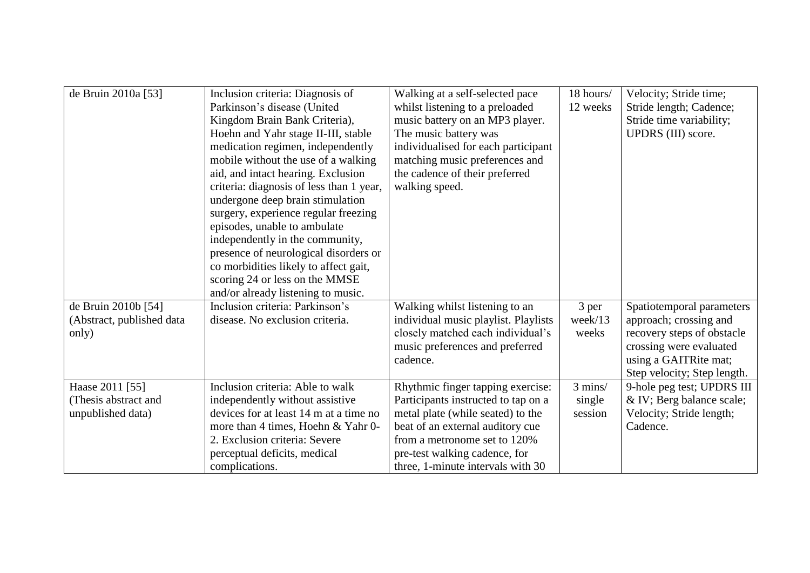| de Bruin 2010a [53]       | Inclusion criteria: Diagnosis of         | Walking at a self-selected pace      | 18 hours/ | Velocity; Stride time;      |
|---------------------------|------------------------------------------|--------------------------------------|-----------|-----------------------------|
|                           | Parkinson's disease (United              | whilst listening to a preloaded      | 12 weeks  | Stride length; Cadence;     |
|                           | Kingdom Brain Bank Criteria),            | music battery on an MP3 player.      |           | Stride time variability;    |
|                           | Hoehn and Yahr stage II-III, stable      | The music battery was                |           | UPDRS (III) score.          |
|                           | medication regimen, independently        | individualised for each participant  |           |                             |
|                           | mobile without the use of a walking      | matching music preferences and       |           |                             |
|                           | aid, and intact hearing. Exclusion       | the cadence of their preferred       |           |                             |
|                           | criteria: diagnosis of less than 1 year, | walking speed.                       |           |                             |
|                           | undergone deep brain stimulation         |                                      |           |                             |
|                           | surgery, experience regular freezing     |                                      |           |                             |
|                           | episodes, unable to ambulate             |                                      |           |                             |
|                           | independently in the community,          |                                      |           |                             |
|                           | presence of neurological disorders or    |                                      |           |                             |
|                           | co morbidities likely to affect gait,    |                                      |           |                             |
|                           |                                          |                                      |           |                             |
|                           | scoring 24 or less on the MMSE           |                                      |           |                             |
|                           | and/or already listening to music.       |                                      |           |                             |
| de Bruin 2010b [54]       | Inclusion criteria: Parkinson's          | Walking whilst listening to an       | 3 per     | Spatiotemporal parameters   |
| (Abstract, published data | disease. No exclusion criteria.          | individual music playlist. Playlists | week/13   | approach; crossing and      |
| only)                     |                                          | closely matched each individual's    | weeks     | recovery steps of obstacle  |
|                           |                                          | music preferences and preferred      |           | crossing were evaluated     |
|                           |                                          | cadence.                             |           | using a GAITRite mat;       |
|                           |                                          |                                      |           | Step velocity; Step length. |
| Haase 2011 [55]           | Inclusion criteria: Able to walk         | Rhythmic finger tapping exercise:    | 3 mins/   | 9-hole peg test; UPDRS III  |
| (Thesis abstract and      | independently without assistive          | Participants instructed to tap on a  | single    | & IV; Berg balance scale;   |
| unpublished data)         | devices for at least 14 m at a time no   | metal plate (while seated) to the    | session   | Velocity; Stride length;    |
|                           | more than 4 times, Hoehn & Yahr 0-       | beat of an external auditory cue     |           | Cadence.                    |
|                           | 2. Exclusion criteria: Severe            | from a metronome set to 120%         |           |                             |
|                           | perceptual deficits, medical             | pre-test walking cadence, for        |           |                             |
|                           | complications.                           | three, 1-minute intervals with 30    |           |                             |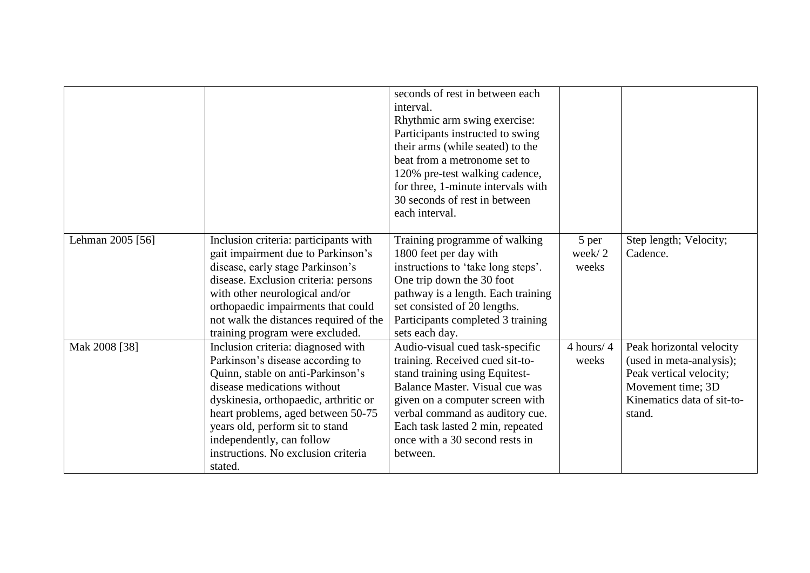|                  |                                                                                                                                                                                                                                                                                                                                             | seconds of rest in between each<br>interval.<br>Rhythmic arm swing exercise:<br>Participants instructed to swing<br>their arms (while seated) to the<br>beat from a metronome set to<br>120% pre-test walking cadence,<br>for three, 1-minute intervals with<br>30 seconds of rest in between<br>each interval. |                          |                                                                                                                                              |
|------------------|---------------------------------------------------------------------------------------------------------------------------------------------------------------------------------------------------------------------------------------------------------------------------------------------------------------------------------------------|-----------------------------------------------------------------------------------------------------------------------------------------------------------------------------------------------------------------------------------------------------------------------------------------------------------------|--------------------------|----------------------------------------------------------------------------------------------------------------------------------------------|
| Lehman 2005 [56] | Inclusion criteria: participants with<br>gait impairment due to Parkinson's<br>disease, early stage Parkinson's<br>disease. Exclusion criteria: persons<br>with other neurological and/or<br>orthopaedic impairments that could<br>not walk the distances required of the<br>training program were excluded.                                | Training programme of walking<br>1800 feet per day with<br>instructions to 'take long steps'.<br>One trip down the 30 foot<br>pathway is a length. Each training<br>set consisted of 20 lengths.<br>Participants completed 3 training<br>sets each day.                                                         | 5 per<br>week/2<br>weeks | Step length; Velocity;<br>Cadence.                                                                                                           |
| Mak 2008 [38]    | Inclusion criteria: diagnosed with<br>Parkinson's disease according to<br>Quinn, stable on anti-Parkinson's<br>disease medications without<br>dyskinesia, orthopaedic, arthritic or<br>heart problems, aged between 50-75<br>years old, perform sit to stand<br>independently, can follow<br>instructions. No exclusion criteria<br>stated. | Audio-visual cued task-specific<br>training. Received cued sit-to-<br>stand training using Equitest-<br>Balance Master. Visual cue was<br>given on a computer screen with<br>verbal command as auditory cue.<br>Each task lasted 2 min, repeated<br>once with a 30 second rests in<br>between.                  | $4$ hours/ $4$<br>weeks  | Peak horizontal velocity<br>(used in meta-analysis);<br>Peak vertical velocity;<br>Movement time; 3D<br>Kinematics data of sit-to-<br>stand. |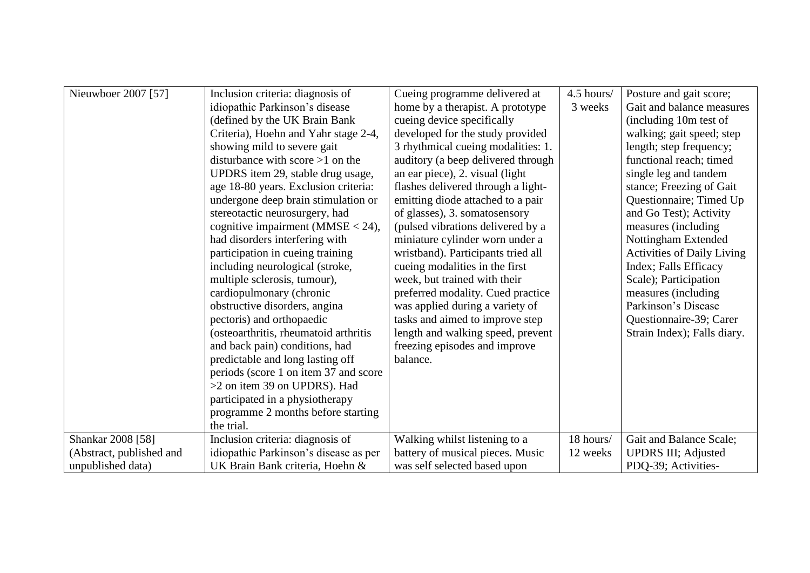| Nieuwboer 2007 [57]      | Inclusion criteria: diagnosis of      | Cueing programme delivered at      | 4.5 hours/ | Posture and gait score;           |
|--------------------------|---------------------------------------|------------------------------------|------------|-----------------------------------|
|                          | idiopathic Parkinson's disease        | home by a therapist. A prototype   | 3 weeks    | Gait and balance measures         |
|                          | (defined by the UK Brain Bank         | cueing device specifically         |            | (including 10m test of            |
|                          | Criteria), Hoehn and Yahr stage 2-4,  | developed for the study provided   |            | walking; gait speed; step         |
|                          | showing mild to severe gait           | 3 rhythmical cueing modalities: 1. |            | length; step frequency;           |
|                          | disturbance with score $>1$ on the    | auditory (a beep delivered through |            | functional reach; timed           |
|                          | UPDRS item 29, stable drug usage,     | an ear piece), 2. visual (light)   |            | single leg and tandem             |
|                          | age 18-80 years. Exclusion criteria:  | flashes delivered through a light- |            | stance; Freezing of Gait          |
|                          | undergone deep brain stimulation or   | emitting diode attached to a pair  |            | Questionnaire; Timed Up           |
|                          | stereotactic neurosurgery, had        | of glasses), 3. somatosensory      |            | and Go Test); Activity            |
|                          | cognitive impairment (MMSE $<$ 24),   | (pulsed vibrations delivered by a  |            | measures (including               |
|                          | had disorders interfering with        | miniature cylinder worn under a    |            | Nottingham Extended               |
|                          | participation in cueing training      | wristband). Participants tried all |            | <b>Activities of Daily Living</b> |
|                          | including neurological (stroke,       | cueing modalities in the first     |            | Index; Falls Efficacy             |
|                          | multiple sclerosis, tumour),          | week, but trained with their       |            | Scale); Participation             |
|                          | cardiopulmonary (chronic              | preferred modality. Cued practice  |            | measures (including)              |
|                          | obstructive disorders, angina         | was applied during a variety of    |            | Parkinson's Disease               |
|                          | pectoris) and orthopaedic             | tasks and aimed to improve step    |            | Questionnaire-39; Carer           |
|                          | (osteoarthritis, rheumatoid arthritis | length and walking speed, prevent  |            | Strain Index); Falls diary.       |
|                          | and back pain) conditions, had        | freezing episodes and improve      |            |                                   |
|                          | predictable and long lasting off      | balance.                           |            |                                   |
|                          | periods (score 1 on item 37 and score |                                    |            |                                   |
|                          | >2 on item 39 on UPDRS). Had          |                                    |            |                                   |
|                          | participated in a physiotherapy       |                                    |            |                                   |
|                          | programme 2 months before starting    |                                    |            |                                   |
|                          | the trial.                            |                                    |            |                                   |
| Shankar 2008 [58]        | Inclusion criteria: diagnosis of      | Walking whilst listening to a      | 18 hours/  | Gait and Balance Scale;           |
| (Abstract, published and | idiopathic Parkinson's disease as per | battery of musical pieces. Music   | 12 weeks   | <b>UPDRS III; Adjusted</b>        |
| unpublished data)        | UK Brain Bank criteria, Hoehn &       | was self selected based upon       |            | PDQ-39; Activities-               |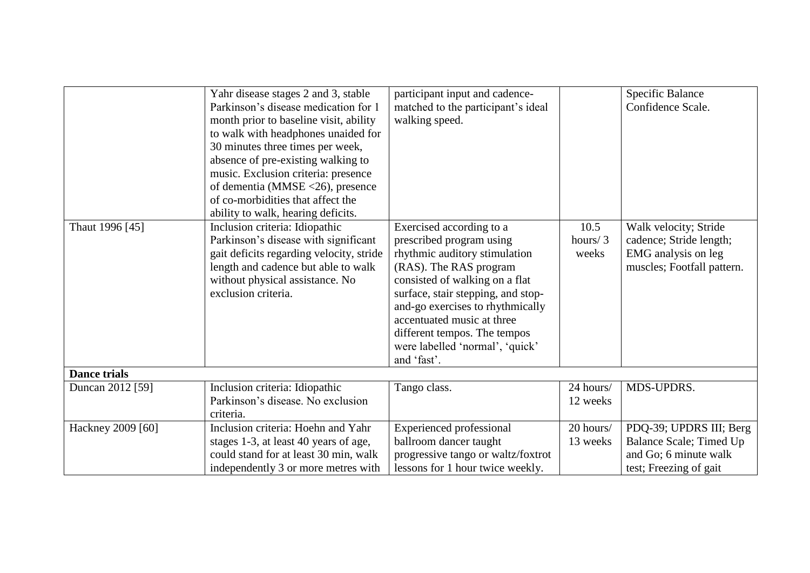|                     | Yahr disease stages 2 and 3, stable<br>Parkinson's disease medication for 1<br>month prior to baseline visit, ability<br>to walk with headphones unaided for<br>30 minutes three times per week,<br>absence of pre-existing walking to<br>music. Exclusion criteria: presence<br>of dementia (MMSE <26), presence<br>of co-morbidities that affect the | participant input and cadence-<br>matched to the participant's ideal<br>walking speed.                                                                                                                                                                                                    |                          | <b>Specific Balance</b><br>Confidence Scale.                                                          |
|---------------------|--------------------------------------------------------------------------------------------------------------------------------------------------------------------------------------------------------------------------------------------------------------------------------------------------------------------------------------------------------|-------------------------------------------------------------------------------------------------------------------------------------------------------------------------------------------------------------------------------------------------------------------------------------------|--------------------------|-------------------------------------------------------------------------------------------------------|
| Thaut 1996 [45]     | ability to walk, hearing deficits.<br>Inclusion criteria: Idiopathic<br>Parkinson's disease with significant<br>gait deficits regarding velocity, stride<br>length and cadence but able to walk<br>without physical assistance. No<br>exclusion criteria.                                                                                              | Exercised according to a<br>prescribed program using<br>rhythmic auditory stimulation<br>(RAS). The RAS program<br>consisted of walking on a flat<br>surface, stair stepping, and stop-<br>and-go exercises to rhythmically<br>accentuated music at three<br>different tempos. The tempos | 10.5<br>hours/3<br>weeks | Walk velocity; Stride<br>cadence; Stride length;<br>EMG analysis on leg<br>muscles; Footfall pattern. |
|                     |                                                                                                                                                                                                                                                                                                                                                        | were labelled 'normal', 'quick'<br>and 'fast'.                                                                                                                                                                                                                                            |                          |                                                                                                       |
| <b>Dance trials</b> |                                                                                                                                                                                                                                                                                                                                                        |                                                                                                                                                                                                                                                                                           |                          |                                                                                                       |
| Duncan 2012 [59]    | Inclusion criteria: Idiopathic<br>Parkinson's disease. No exclusion<br>criteria.                                                                                                                                                                                                                                                                       | Tango class.                                                                                                                                                                                                                                                                              | 24 hours/<br>12 weeks    | MDS-UPDRS.                                                                                            |
| Hackney 2009 [60]   | Inclusion criteria: Hoehn and Yahr<br>stages 1-3, at least 40 years of age,<br>could stand for at least 30 min, walk<br>independently 3 or more metres with                                                                                                                                                                                            | <b>Experienced</b> professional<br>ballroom dancer taught<br>progressive tango or waltz/foxtrot<br>lessons for 1 hour twice weekly.                                                                                                                                                       | 20 hours/<br>13 weeks    | PDQ-39; UPDRS III; Berg<br>Balance Scale; Timed Up<br>and Go; 6 minute walk<br>test; Freezing of gait |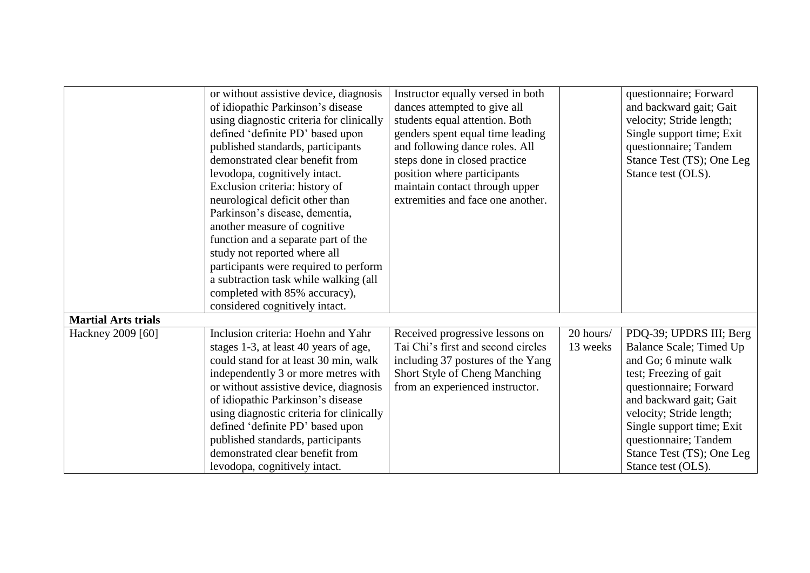|                            | or without assistive device, diagnosis   | Instructor equally versed in both  |           | questionnaire; Forward    |
|----------------------------|------------------------------------------|------------------------------------|-----------|---------------------------|
|                            | of idiopathic Parkinson's disease        | dances attempted to give all       |           | and backward gait; Gait   |
|                            | using diagnostic criteria for clinically | students equal attention. Both     |           | velocity; Stride length;  |
|                            | defined 'definite PD' based upon         | genders spent equal time leading   |           | Single support time; Exit |
|                            | published standards, participants        | and following dance roles. All     |           | questionnaire; Tandem     |
|                            | demonstrated clear benefit from          | steps done in closed practice      |           | Stance Test (TS); One Leg |
|                            | levodopa, cognitively intact.            | position where participants        |           | Stance test (OLS).        |
|                            | Exclusion criteria: history of           | maintain contact through upper     |           |                           |
|                            | neurological deficit other than          | extremities and face one another.  |           |                           |
|                            | Parkinson's disease, dementia,           |                                    |           |                           |
|                            | another measure of cognitive             |                                    |           |                           |
|                            | function and a separate part of the      |                                    |           |                           |
|                            | study not reported where all             |                                    |           |                           |
|                            | participants were required to perform    |                                    |           |                           |
|                            | a subtraction task while walking (all    |                                    |           |                           |
|                            | completed with 85% accuracy),            |                                    |           |                           |
|                            | considered cognitively intact.           |                                    |           |                           |
| <b>Martial Arts trials</b> |                                          |                                    |           |                           |
| Hackney 2009 [60]          | Inclusion criteria: Hoehn and Yahr       | Received progressive lessons on    | 20 hours/ | PDQ-39; UPDRS III; Berg   |
|                            | stages 1-3, at least 40 years of age,    | Tai Chi's first and second circles | 13 weeks  | Balance Scale; Timed Up   |
|                            | could stand for at least 30 min, walk    | including 37 postures of the Yang  |           | and Go; 6 minute walk     |
|                            | independently 3 or more metres with      | Short Style of Cheng Manching      |           | test; Freezing of gait    |
|                            | or without assistive device, diagnosis   | from an experienced instructor.    |           | questionnaire; Forward    |
|                            | of idiopathic Parkinson's disease        |                                    |           | and backward gait; Gait   |
|                            | using diagnostic criteria for clinically |                                    |           | velocity; Stride length;  |
|                            | defined 'definite PD' based upon         |                                    |           | Single support time; Exit |
|                            | published standards, participants        |                                    |           | questionnaire; Tandem     |
|                            | demonstrated clear benefit from          |                                    |           | Stance Test (TS); One Leg |
|                            | levodopa, cognitively intact.            |                                    |           | Stance test (OLS).        |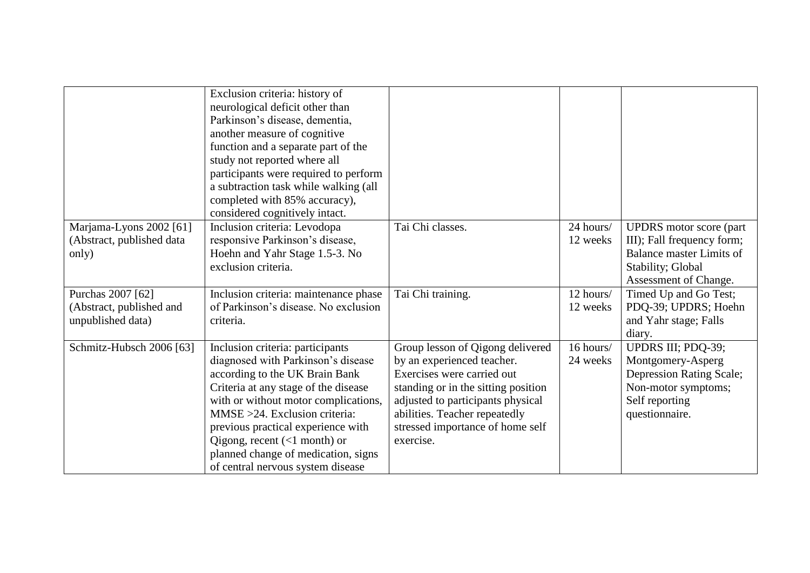|                                                                    | Exclusion criteria: history of<br>neurological deficit other than<br>Parkinson's disease, dementia,<br>another measure of cognitive<br>function and a separate part of the<br>study not reported where all<br>participants were required to perform<br>a subtraction task while walking (all<br>completed with 85% accuracy),<br>considered cognitively intact.                                          |                                                                                                                                                                                                                                                            |                       |                                                                                                                                               |
|--------------------------------------------------------------------|----------------------------------------------------------------------------------------------------------------------------------------------------------------------------------------------------------------------------------------------------------------------------------------------------------------------------------------------------------------------------------------------------------|------------------------------------------------------------------------------------------------------------------------------------------------------------------------------------------------------------------------------------------------------------|-----------------------|-----------------------------------------------------------------------------------------------------------------------------------------------|
| Marjama-Lyons 2002 [61]<br>(Abstract, published data<br>only)      | Inclusion criteria: Levodopa<br>responsive Parkinson's disease,<br>Hoehn and Yahr Stage 1.5-3. No<br>exclusion criteria.                                                                                                                                                                                                                                                                                 | Tai Chi classes.                                                                                                                                                                                                                                           | 24 hours/<br>12 weeks | <b>UPDRS</b> motor score (part<br>III); Fall frequency form;<br><b>Balance master Limits of</b><br>Stability; Global<br>Assessment of Change. |
| Purchas 2007 [62]<br>(Abstract, published and<br>unpublished data) | Inclusion criteria: maintenance phase<br>of Parkinson's disease. No exclusion<br>criteria.                                                                                                                                                                                                                                                                                                               | Tai Chi training.                                                                                                                                                                                                                                          | 12 hours/<br>12 weeks | Timed Up and Go Test;<br>PDQ-39; UPDRS; Hoehn<br>and Yahr stage; Falls<br>diary.                                                              |
| Schmitz-Hubsch 2006 [63]                                           | Inclusion criteria: participants<br>diagnosed with Parkinson's disease<br>according to the UK Brain Bank<br>Criteria at any stage of the disease<br>with or without motor complications,<br>$MMSE > 24$ . Exclusion criteria:<br>previous practical experience with<br>Qigong, recent $(\langle 1 \text{ month} \rangle)$ or<br>planned change of medication, signs<br>of central nervous system disease | Group lesson of Qigong delivered<br>by an experienced teacher.<br>Exercises were carried out<br>standing or in the sitting position<br>adjusted to participants physical<br>abilities. Teacher repeatedly<br>stressed importance of home self<br>exercise. | 16 hours/<br>24 weeks | UPDRS III; PDQ-39;<br>Montgomery-Asperg<br>Depression Rating Scale;<br>Non-motor symptoms;<br>Self reporting<br>questionnaire.                |